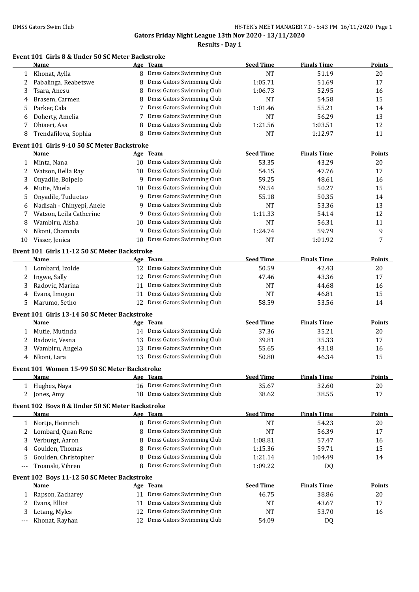|        | Event 101 Girls 8 & Under 50 SC Meter Backstroke<br>Name |          | Age Team                                               | <b>Seed Time</b>       | <b>Finals Time</b> | <b>Points</b> |
|--------|----------------------------------------------------------|----------|--------------------------------------------------------|------------------------|--------------------|---------------|
| 1      | Khonat, Aylla                                            |          | 8 Dmss Gators Swimming Club                            | <b>NT</b>              | 51.19              | 20            |
| 2      | Pabalinga, Reabetswe                                     |          | 8 Dmss Gators Swimming Club                            | 1:05.71                | 51.69              | 17            |
| 3      | Tsara, Anesu                                             | 8        | Dmss Gators Swimming Club                              | 1:06.73                | 52.95              | 16            |
| 4      | Brasem, Carmen                                           |          | 8 Dmss Gators Swimming Club                            | NT                     | 54.58              | 15            |
| 5      | Parker, Cala                                             |          | 7 Dmss Gators Swimming Club                            | 1:01.46                | 55.21              | 14            |
| 6      | Doherty, Amelia                                          |          | 7 Dmss Gators Swimming Club                            | <b>NT</b>              | 56.29              | 13            |
| 7      | Ohiaeri, Asa                                             |          | 8 Dmss Gators Swimming Club                            | 1:21.56                | 1:03.51            | 12            |
| 8      | Trendafilova, Sophia                                     |          | 8 Dmss Gators Swimming Club                            | <b>NT</b>              | 1:12.97            | 11            |
|        |                                                          |          |                                                        |                        |                    |               |
|        | Event 101 Girls 9-10 50 SC Meter Backstroke<br>Name      |          | Age Team                                               | <b>Seed Time</b>       | <b>Finals Time</b> | <b>Points</b> |
| 1      | Minta, Nana                                              |          | 10 Dmss Gators Swimming Club                           | 53.35                  | 43.29              | 20            |
| 2      | Watson, Bella Ray                                        |          | 10 Dmss Gators Swimming Club                           | 54.15                  | 47.76              | 17            |
| 3      | Onyadile, Boipelo                                        | 9        | Dmss Gators Swimming Club                              | 59.25                  | 48.61              | 16            |
| 4      | Mutie, Muela                                             |          | 10 Dmss Gators Swimming Club                           | 59.54                  | 50.27              | 15            |
| 5      | Onyadile, Tuduetso                                       | 9        | Dmss Gators Swimming Club                              | 55.18                  | 50.35              | 14            |
| 6      | Nadisah - Chinyepi, Anele                                | 9        | Dmss Gators Swimming Club                              | NT                     | 53.36              | 13            |
| 7      | Watson, Leila Catherine                                  | 9        | Dmss Gators Swimming Club                              | 1:11.33                | 54.14              | 12            |
| 8      | Wambiru, Aisha                                           | 10       | Dmss Gators Swimming Club                              | <b>NT</b>              | 56.31              | 11            |
| 9      | Nkoni, Chamada                                           | 9        | Dmss Gators Swimming Club                              | 1:24.74                | 59.79              | 9             |
| 10     | Visser, Jenica                                           | 10       | Dmss Gators Swimming Club                              | <b>NT</b>              | 1:01.92            | 7             |
|        |                                                          |          |                                                        |                        |                    |               |
|        | Event 101 Girls 11-12 50 SC Meter Backstroke             |          |                                                        |                        |                    |               |
|        | Name                                                     |          | Age Team                                               | <b>Seed Time</b>       | <b>Finals Time</b> | <b>Points</b> |
|        | 1 Lombard, Izolde                                        |          | 12 Dmss Gators Swimming Club                           | 50.59                  | 42.43              | 20            |
| 2      | Ingwe, Sally                                             |          | 12 Dmss Gators Swimming Club                           | 47.46                  | 43.36              | 17            |
| 3      | Radovic, Marina                                          |          | 11 Dmss Gators Swimming Club                           | NT                     | 44.68              | 16            |
| 4      | Evans, Imogen                                            |          | 11 Dmss Gators Swimming Club                           | NT                     | 46.81              | 15            |
| 5.     | Marumo, Setho                                            |          | 12 Dmss Gators Swimming Club                           | 58.59                  | 53.56              | 14            |
|        | Event 101 Girls 13-14 50 SC Meter Backstroke             |          |                                                        |                        |                    |               |
|        | Name                                                     |          | Age Team                                               | <b>Seed Time</b>       | <b>Finals Time</b> | <b>Points</b> |
| 1      | Mutie, Mutinda                                           |          | 14 Dmss Gators Swimming Club                           | 37.36                  | 35.21              | 20            |
| 2      | Radovic, Vesna                                           |          | 13 Dmss Gators Swimming Club                           | 39.81                  | 35.33              | 17            |
| 3      | Wambiru, Angela                                          |          | 13 Dmss Gators Swimming Club                           | 55.65                  | 43.18              | 16            |
| 4      | Nkoni, Lara                                              |          | 13 Dmss Gators Swimming Club                           | 50.80                  | 46.34              | 15            |
|        | Event 101 Women 15-99 50 SC Meter Backstroke             |          |                                                        |                        |                    |               |
|        | <b>Name</b>                                              |          | Age Team                                               | <b>Seed Time</b>       | <b>Finals Time</b> | <b>Points</b> |
|        | 1 Hughes, Naya                                           |          | 16 Dmss Gators Swimming Club                           | 35.67                  | 32.60              | 20            |
| 2      | Jones, Amy                                               |          | 18 Dmss Gators Swimming Club                           | 38.62                  | 38.55              | 17            |
|        | Event 102 Boys 8 & Under 50 SC Meter Backstroke          |          |                                                        |                        |                    |               |
|        | Name                                                     |          | Age Team                                               | <b>Seed Time</b>       | <b>Finals Time</b> | <b>Points</b> |
| 1      | Nortje, Heinrich                                         |          | 8 Dmss Gators Swimming Club                            | <b>NT</b>              | 54.23              | 20            |
| 2      | Lombard, Quan Rene                                       |          | 8 Dmss Gators Swimming Club                            | <b>NT</b>              | 56.39              | 17            |
| 3      | Verburgt, Aaron                                          | 8        | Dmss Gators Swimming Club                              | 1:08.81                | 57.47              | 16            |
| 4      | Goulden, Thomas                                          | 8        | Dmss Gators Swimming Club                              | 1:15.36                | 59.71              | 15            |
| 5      | Goulden, Christopher                                     | 8        | Dmss Gators Swimming Club                              | 1:21.14                | 1:04.49            | 14            |
| $---$  | Troanski, Vihren                                         |          | 8 Dmss Gators Swimming Club                            | 1:09.22                | <b>DQ</b>          |               |
|        | Event 102 Boys 11-12 50 SC Meter Backstroke              |          |                                                        |                        |                    |               |
|        | Name                                                     |          | Age Team                                               | <b>Seed Time</b>       | <b>Finals Time</b> | <b>Points</b> |
|        |                                                          |          |                                                        |                        |                    |               |
|        |                                                          |          |                                                        |                        |                    |               |
| 1      | Rapson, Zacharey                                         |          | 11 Dmss Gators Swimming Club                           | 46.75                  | 38.86              | 20            |
| 2<br>3 | Evans, Elliot<br>Letang, Myles                           | 11<br>12 | Dmss Gators Swimming Club<br>Dmss Gators Swimming Club | <b>NT</b><br><b>NT</b> | 43.67<br>53.70     | 17<br>16      |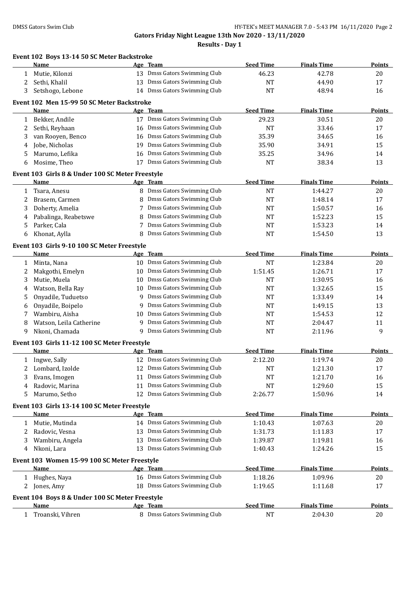|   | Event 102 Boys 13-14 50 SC Meter Backstroke<br>Name     |    | Age Team                                                     | <b>Seed Time</b> | <b>Finals Time</b> | Points        |
|---|---------------------------------------------------------|----|--------------------------------------------------------------|------------------|--------------------|---------------|
| 1 | Mutie, Kilonzi                                          |    | 13 Dmss Gators Swimming Club                                 | 46.23            | 42.78              | 20            |
| 2 | Sethi, Khalil                                           |    | 13 Dmss Gators Swimming Club                                 | <b>NT</b>        | 44.90              | 17            |
| 3 | Setshogo, Lebone                                        |    | 14 Dmss Gators Swimming Club                                 | <b>NT</b>        | 48.94              | 16            |
|   | Event 102 Men 15-99 50 SC Meter Backstroke              |    |                                                              |                  |                    |               |
|   | Name                                                    |    | Age Team                                                     | <b>Seed Time</b> | <b>Finals Time</b> | <b>Points</b> |
|   | 1 Bekker, Andile                                        |    | 17 Dmss Gators Swimming Club                                 | 29.23            | 30.51              | 20            |
| 2 | Sethi, Reyhaan                                          |    | 16 Dmss Gators Swimming Club                                 | <b>NT</b>        | 33.46              | 17            |
| 3 | van Rooyen, Benco                                       |    | 16 Dmss Gators Swimming Club                                 | 35.39            | 34.65              | 16            |
| 4 | Jobe, Nicholas                                          | 19 | Dmss Gators Swimming Club                                    | 35.90            | 34.91              | 15            |
| 5 | Marumo, Lefika                                          | 16 | Dmss Gators Swimming Club                                    | 35.25            | 34.96              | 14            |
| 6 | Mosime, Theo                                            |    | 17 Dmss Gators Swimming Club                                 | <b>NT</b>        | 38.34              | 13            |
|   | Event 103 Girls 8 & Under 100 SC Meter Freestyle        |    |                                                              |                  |                    |               |
|   | Name                                                    |    | Age Team                                                     | <b>Seed Time</b> | <b>Finals Time</b> | <b>Points</b> |
| 1 | Tsara, Anesu                                            |    | 8 Dmss Gators Swimming Club                                  | NT               | 1:44.27            | 20            |
| 2 | Brasem, Carmen                                          |    | 8 Dmss Gators Swimming Club                                  | <b>NT</b>        | 1:48.14            | 17            |
| 3 | Doherty, Amelia                                         |    | 7 Dmss Gators Swimming Club                                  | NT               | 1:50.57            | 16            |
| 4 | Pabalinga, Reabetswe                                    | 8  | Dmss Gators Swimming Club                                    | <b>NT</b>        | 1:52.23            | 15            |
| 5 | Parker, Cala                                            | 7  | Dmss Gators Swimming Club                                    | NT               | 1:53.23            | 14            |
| 6 | Khonat, Aylla                                           |    | 8 Dmss Gators Swimming Club                                  | NT               | 1:54.50            | 13            |
|   | Event 103 Girls 9-10 100 SC Meter Freestyle             |    |                                                              |                  |                    |               |
|   | Name                                                    |    | Age Team                                                     | <b>Seed Time</b> | <b>Finals Time</b> | <b>Points</b> |
| 1 | Minta, Nana                                             |    | 10 Dmss Gators Swimming Club                                 | NT               | 1:23.84            | 20            |
| 2 | Makgothi, Emelyn                                        |    | 10 Dmss Gators Swimming Club                                 | 1:51.45          | 1:26.71            | 17            |
| 3 | Mutie, Muela                                            |    | 10 Dmss Gators Swimming Club                                 | <b>NT</b>        | 1:30.95            | 16            |
| 4 | Watson, Bella Ray                                       |    | 10 Dmss Gators Swimming Club                                 | NT               | 1:32.65            | 15            |
| 5 | Onyadile, Tuduetso                                      | 9  | Dmss Gators Swimming Club                                    | NT               | 1:33.49            | 14            |
| 6 | Onyadile, Boipelo                                       | 9  | Dmss Gators Swimming Club                                    | NT               | 1:49.15            | 13            |
| 7 | Wambiru, Aisha                                          | 10 | Dmss Gators Swimming Club                                    | NT               | 1:54.53            | 12            |
| 8 | Watson, Leila Catherine                                 | 9  | Dmss Gators Swimming Club                                    | NT               | 2:04.47            | 11            |
| 9 | Nkoni, Chamada                                          | 9. | Dmss Gators Swimming Club                                    | <b>NT</b>        | 2:11.96            | 9             |
|   | Event 103 Girls 11-12 100 SC Meter Freestyle            |    |                                                              |                  |                    |               |
|   | Name                                                    |    | Age Team                                                     | <b>Seed Time</b> | <b>Finals Time</b> | <b>Points</b> |
|   | 1 Ingwe, Sally                                          |    | 12 Dmss Gators Swimming Club                                 | 2:12.20          | 1:19.74            | 20            |
| 2 | Lombard, Izolde                                         |    | 12 Dmss Gators Swimming Club                                 | <b>NT</b>        | 1:21.30            | 17            |
| 3 | Evans, Imogen                                           |    | 11 Dmss Gators Swimming Club                                 | NT               | 1:21.70            | 16            |
| 4 | Radovic, Marina                                         |    | 11 Dmss Gators Swimming Club                                 | NT               | 1:29.60            | 15            |
| 5 | Marumo, Setho                                           |    | 12 Dmss Gators Swimming Club                                 | 2:26.77          | 1:50.96            | 14            |
|   | Event 103 Girls 13-14 100 SC Meter Freestyle            |    |                                                              |                  |                    |               |
|   | Name                                                    |    | Age Team<br>14 Dmss Gators Swimming Club                     | <b>Seed Time</b> | <b>Finals Time</b> | <b>Points</b> |
| 1 | Mutie, Mutinda                                          |    |                                                              | 1:10.43          | 1:07.63            | 20            |
| 2 | Radovic, Vesna                                          |    | 13 Dmss Gators Swimming Club<br>13 Dmss Gators Swimming Club | 1:31.73          | 1:11.83            | 17            |
| 3 | Wambiru, Angela<br>Nkoni, Lara                          |    | 13 Dmss Gators Swimming Club                                 | 1:39.87          | 1:19.81<br>1:24.26 | 16<br>15      |
| 4 |                                                         |    |                                                              | 1:40.43          |                    |               |
|   | Event 103 Women 15-99 100 SC Meter Freestyle<br>Name    |    | Age Team                                                     | <b>Seed Time</b> | <b>Finals Time</b> | <b>Points</b> |
|   | 1 Hughes, Naya                                          |    | 16 Dmss Gators Swimming Club                                 | 1:18.26          | 1:09.96            | 20            |
| 2 | Jones, Amy                                              |    | 18 Dmss Gators Swimming Club                                 | 1:19.65          | 1:11.68            | 17            |
|   |                                                         |    |                                                              |                  |                    |               |
|   | Event 104 Boys 8 & Under 100 SC Meter Freestyle<br>Name |    | Age Team                                                     | <b>Seed Time</b> | <b>Finals Time</b> | <b>Points</b> |
|   | 1 Troanski, Vihren                                      |    | 8 Dmss Gators Swimming Club                                  | <b>NT</b>        | 2:04.30            | 20            |
|   |                                                         |    |                                                              |                  |                    |               |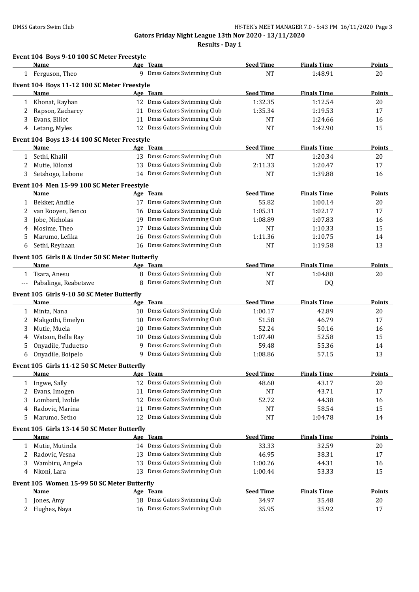|              | Event 104 Boys 9-10 100 SC Meter Freestyle<br>Name  |    | Age Team                     | <b>Seed Time</b> | <b>Finals Time</b> | Points        |
|--------------|-----------------------------------------------------|----|------------------------------|------------------|--------------------|---------------|
|              | 1 Ferguson, Theo                                    |    | 9 Dmss Gators Swimming Club  | <b>NT</b>        | 1:48.91            | 20            |
|              |                                                     |    |                              |                  |                    |               |
|              | Event 104 Boys 11-12 100 SC Meter Freestyle<br>Name |    | Age Team                     | <b>Seed Time</b> | <b>Finals Time</b> | <b>Points</b> |
| $\mathbf{1}$ | Khonat, Rayhan                                      |    | 12 Dmss Gators Swimming Club | 1:32.35          | 1:12.54            | 20            |
| 2            | Rapson, Zacharey                                    |    | 11 Dmss Gators Swimming Club | 1:35.34          | 1:19.53            | 17            |
| 3            | Evans, Elliot                                       |    | 11 Dmss Gators Swimming Club | NT               | 1:24.66            | 16            |
| 4            | Letang, Myles                                       |    | 12 Dmss Gators Swimming Club | <b>NT</b>        | 1:42.90            | 15            |
|              | Event 104 Boys 13-14 100 SC Meter Freestyle         |    |                              |                  |                    |               |
|              | Name                                                |    | Age Team                     | <b>Seed Time</b> | <b>Finals Time</b> | <b>Points</b> |
| 1            | Sethi, Khalil                                       |    | 13 Dmss Gators Swimming Club | <b>NT</b>        | 1:20.34            | 20            |
| 2            | Mutie, Kilonzi                                      | 13 | Dmss Gators Swimming Club    | 2:11.33          | 1:20.47            | 17            |
| 3            | Setshogo, Lebone                                    |    | 14 Dmss Gators Swimming Club | <b>NT</b>        | 1:39.88            | 16            |
|              | Event 104 Men 15-99 100 SC Meter Freestyle          |    |                              |                  |                    |               |
|              | Name                                                |    | Age Team                     | <b>Seed Time</b> | <b>Finals Time</b> | <b>Points</b> |
| $\mathbf{1}$ | Bekker, Andile                                      |    | 17 Dmss Gators Swimming Club | 55.82            | 1:00.14            | 20            |
| 2            | van Rooyen, Benco                                   | 16 | Dmss Gators Swimming Club    | 1:05.31          | 1:02.17            | 17            |
| 3            | Jobe, Nicholas                                      | 19 | Dmss Gators Swimming Club    | 1:08.89          | 1:07.83            | 16            |
| 4            | Mosime, Theo                                        | 17 | Dmss Gators Swimming Club    | NT               | 1:10.33            | 15            |
| 5            | Marumo, Lefika                                      | 16 | Dmss Gators Swimming Club    | 1:11.36          | 1:10.75            | 14            |
| 6            | Sethi, Reyhaan                                      | 16 | Dmss Gators Swimming Club    | <b>NT</b>        | 1:19.58            | 13            |
|              | Event 105 Girls 8 & Under 50 SC Meter Butterfly     |    |                              |                  |                    |               |
|              | Name                                                |    | Age Team                     | <b>Seed Time</b> | <b>Finals Time</b> | <b>Points</b> |
| $\mathbf{1}$ | Tsara, Anesu                                        |    | 8 Dmss Gators Swimming Club  | <b>NT</b>        | 1:04.88            | 20            |
| $---$        | Pabalinga, Reabetswe                                | 8  | Dmss Gators Swimming Club    | <b>NT</b>        | DQ                 |               |
|              | Event 105 Girls 9-10 50 SC Meter Butterfly          |    |                              |                  |                    |               |
|              | Name                                                |    | Age Team                     | <b>Seed Time</b> | <b>Finals Time</b> | <b>Points</b> |
|              | 1 Minta, Nana                                       |    | 10 Dmss Gators Swimming Club | 1:00.17          | 42.89              | 20            |
| 2            | Makgothi, Emelyn                                    | 10 | Dmss Gators Swimming Club    | 51.58            | 46.79              | 17            |
| 3            | Mutie, Muela                                        | 10 | Dmss Gators Swimming Club    | 52.24            | 50.16              | 16            |
| 4            | Watson, Bella Ray                                   | 10 | Dmss Gators Swimming Club    | 1:07.40          | 52.58              | 15            |
| 5            | Onyadile, Tuduetso                                  | 9  | Dmss Gators Swimming Club    | 59.48            | 55.36              | 14            |
| 6            | Onyadile, Boipelo                                   |    | 9 Dmss Gators Swimming Club  | 1:08.86          | 57.15              | 13            |
|              | Event 105 Girls 11-12 50 SC Meter Butterfly         |    |                              |                  |                    |               |
|              | <u>Name</u>                                         |    | <u>Age Team</u>              | <b>Seed Time</b> | <b>Finals Time</b> | <b>Points</b> |
| 1            | Ingwe, Sally                                        |    | 12 Dmss Gators Swimming Club | 48.60            | 43.17              | 20            |
| 2            | Evans, Imogen                                       | 11 | Dmss Gators Swimming Club    | NT               | 43.71              | 17            |
| 3            | Lombard, Izolde                                     | 12 | Dmss Gators Swimming Club    | 52.72            | 44.38              | 16            |
| 4            | Radovic, Marina                                     | 11 | Dmss Gators Swimming Club    | <b>NT</b>        | 58.54              | 15            |
| 5            | Marumo, Setho                                       | 12 | Dmss Gators Swimming Club    | <b>NT</b>        | 1:04.78            | 14            |
|              | Event 105 Girls 13-14 50 SC Meter Butterfly         |    |                              |                  |                    |               |
|              | Name                                                |    | Age Team                     | <b>Seed Time</b> | <b>Finals Time</b> | <b>Points</b> |
| 1            | Mutie, Mutinda                                      |    | 14 Dmss Gators Swimming Club | 33.33            | 32.59              | 20            |
| 2            | Radovic, Vesna                                      | 13 | Dmss Gators Swimming Club    | 46.95            | 38.31              | 17            |
| 3            | Wambiru, Angela                                     | 13 | Dmss Gators Swimming Club    | 1:00.26          | 44.31              | 16            |
| 4            | Nkoni, Lara                                         | 13 | Dmss Gators Swimming Club    | 1:00.44          | 53.33              | 15            |
|              |                                                     |    |                              |                  |                    |               |
|              | Event 105 Women 15-99 50 SC Meter Butterfly<br>Name |    | Age Team                     | <b>Seed Time</b> | <b>Finals Time</b> | <b>Points</b> |
| 1            | Jones, Amy                                          |    | 18 Dmss Gators Swimming Club | 34.97            | 35.48              | 20            |
| $2^{\circ}$  | Hughes, Naya                                        |    | 16 Dmss Gators Swimming Club | 35.95            | 35.92              | 17            |
|              |                                                     |    |                              |                  |                    |               |